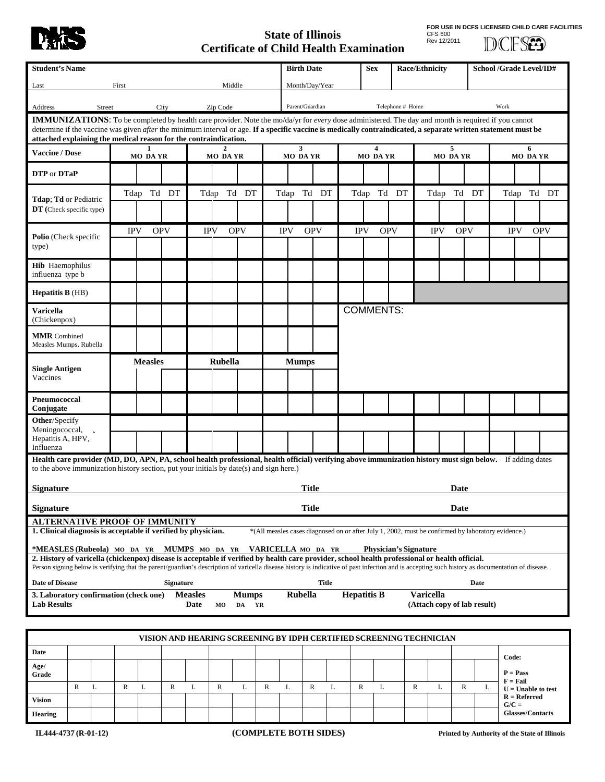

## **State of Illinois Certificate of Child Health Examination**

**FOR USE IN DCFS LICENSED CHILD CARE FACILITIES** CFS 600 Rev 12/2011

**DCFSED** 

| <b>Student's Name</b>                                                                                                                                                                                                                                                                                                                                                                                  |                                                                                                                                                                                                    |   |                     |            |                  |                |             |            |             | <b>Birth Date</b>   |                                             |              |                | <b>Race/Ethnicity</b><br><b>Sex</b> |                     |                              | School /Grade Level/ID# |                     |                                                                                                    |                          |                                        |            |
|--------------------------------------------------------------------------------------------------------------------------------------------------------------------------------------------------------------------------------------------------------------------------------------------------------------------------------------------------------------------------------------------------------|----------------------------------------------------------------------------------------------------------------------------------------------------------------------------------------------------|---|---------------------|------------|------------------|----------------|-------------|------------|-------------|---------------------|---------------------------------------------|--------------|----------------|-------------------------------------|---------------------|------------------------------|-------------------------|---------------------|----------------------------------------------------------------------------------------------------|--------------------------|----------------------------------------|------------|
| Middle<br>First<br>Last                                                                                                                                                                                                                                                                                                                                                                                |                                                                                                                                                                                                    |   |                     |            |                  |                |             |            |             |                     | Month/Day/Year                              |              |                |                                     |                     |                              |                         |                     |                                                                                                    |                          |                                        |            |
| City<br>Zip Code<br>Address<br>Street                                                                                                                                                                                                                                                                                                                                                                  |                                                                                                                                                                                                    |   |                     |            |                  |                |             |            |             |                     | Parent/Guardian<br>Telephone # Home<br>Work |              |                |                                     |                     |                              |                         |                     |                                                                                                    |                          |                                        |            |
| <b>IMMUNIZATIONS:</b> To be completed by health care provider. Note the mo/da/yr for every dose administered. The day and month is required if you cannot<br>determine if the vaccine was given <i>after</i> the minimum interval or age. If a specific vaccine is medically contraindicated, a separate written statement must be<br>attached explaining the medical reason for the contraindication. |                                                                                                                                                                                                    |   |                     |            |                  |                |             |            |             |                     |                                             |              |                |                                     |                     |                              |                         |                     |                                                                                                    |                          |                                        |            |
| <b>Vaccine / Dose</b>                                                                                                                                                                                                                                                                                                                                                                                  |                                                                                                                                                                                                    |   | 1<br><b>MO DAYR</b> |            |                  | <b>MO DAYR</b> |             |            |             | 3<br><b>MO DAYR</b> |                                             |              | <b>MO DAYR</b> |                                     | 5<br><b>MO DAYR</b> |                              |                         | 6<br><b>MO DAYR</b> |                                                                                                    |                          |                                        |            |
| DTP or DTaP                                                                                                                                                                                                                                                                                                                                                                                            |                                                                                                                                                                                                    |   |                     |            |                  |                |             |            |             |                     |                                             |              |                |                                     |                     |                              |                         |                     |                                                                                                    |                          |                                        |            |
| <b>Tdap</b> ; <b>Td</b> or Pediatric<br>DT (Check specific type)                                                                                                                                                                                                                                                                                                                                       |                                                                                                                                                                                                    |   |                     | Tdap Td DT |                  |                |             | Tdap Td DT |             | Tdap Td DT          |                                             |              |                | Tdap Td DT                          |                     |                              | Tdap Td DT              |                     |                                                                                                    |                          | Tdap Td DT                             |            |
| Polio (Check specific<br>type)                                                                                                                                                                                                                                                                                                                                                                         |                                                                                                                                                                                                    |   | <b>IPV</b>          |            | <b>OPV</b>       |                | <b>IPV</b>  | <b>OPV</b> |             | <b>IPV</b>          | <b>OPV</b>                                  |              | <b>IPV</b>     | <b>OPV</b>                          |                     |                              | <b>IPV</b>              | <b>OPV</b>          |                                                                                                    | <b>IPV</b>               |                                        | <b>OPV</b> |
| <b>Hib</b> Haemophilus<br>influenza type b                                                                                                                                                                                                                                                                                                                                                             |                                                                                                                                                                                                    |   |                     |            |                  |                |             |            |             |                     |                                             |              |                |                                     |                     |                              |                         |                     |                                                                                                    |                          |                                        |            |
| Hepatitis B (HB)                                                                                                                                                                                                                                                                                                                                                                                       |                                                                                                                                                                                                    |   |                     |            |                  |                |             |            |             |                     |                                             |              |                |                                     |                     |                              |                         |                     |                                                                                                    |                          |                                        |            |
| <b>Varicella</b><br>(Chickenpox)                                                                                                                                                                                                                                                                                                                                                                       |                                                                                                                                                                                                    |   | <b>COMMENTS:</b>    |            |                  |                |             |            |             |                     |                                             |              |                |                                     |                     |                              |                         |                     |                                                                                                    |                          |                                        |            |
| <b>MMR</b> Combined<br>Measles Mumps. Rubella                                                                                                                                                                                                                                                                                                                                                          |                                                                                                                                                                                                    |   |                     |            |                  |                |             |            |             |                     |                                             |              |                |                                     |                     |                              |                         |                     |                                                                                                    |                          |                                        |            |
| <b>Single Antigen</b><br>Vaccines                                                                                                                                                                                                                                                                                                                                                                      |                                                                                                                                                                                                    |   | <b>Measles</b>      |            |                  | <b>Rubella</b> |             |            |             | <b>Mumps</b>        |                                             |              |                |                                     |                     |                              |                         |                     |                                                                                                    |                          |                                        |            |
| Pneumococcal<br>Conjugate                                                                                                                                                                                                                                                                                                                                                                              |                                                                                                                                                                                                    |   |                     |            |                  |                |             |            |             |                     |                                             |              |                |                                     |                     |                              |                         |                     |                                                                                                    |                          |                                        |            |
| <b>Other/Specify</b><br>Meningococcal,<br>Hepatitis A, HPV,<br>Influenza                                                                                                                                                                                                                                                                                                                               |                                                                                                                                                                                                    |   |                     |            |                  |                |             |            |             |                     |                                             |              |                |                                     |                     |                              |                         |                     |                                                                                                    |                          |                                        |            |
| Health care provider (MD, DO, APN, PA, school health professional, health official) verifying above immunization history must sign below. If adding dates<br>to the above immunization history section, put your initials by date(s) and sign here.)                                                                                                                                                   |                                                                                                                                                                                                    |   |                     |            |                  |                |             |            |             |                     |                                             |              |                |                                     |                     |                              |                         |                     |                                                                                                    |                          |                                        |            |
| <b>Signature</b>                                                                                                                                                                                                                                                                                                                                                                                       |                                                                                                                                                                                                    |   |                     |            |                  |                |             |            |             |                     | <b>Title</b>                                |              |                |                                     |                     |                              |                         | Date                |                                                                                                    |                          |                                        |            |
| <b>Title</b><br><b>Signature</b><br>Date                                                                                                                                                                                                                                                                                                                                                               |                                                                                                                                                                                                    |   |                     |            |                  |                |             |            |             |                     |                                             |              |                |                                     |                     |                              |                         |                     |                                                                                                    |                          |                                        |            |
| <b>ALTERNATIVE PROOF OF IMMUNITY</b><br>1. Clinical diagnosis is acceptable if verified by physician.                                                                                                                                                                                                                                                                                                  |                                                                                                                                                                                                    |   |                     |            |                  |                |             |            |             |                     |                                             |              |                |                                     |                     |                              |                         |                     | *(All measles cases diagnosed on or after July 1, 2002, must be confirmed by laboratory evidence.) |                          |                                        |            |
| *MEASLES (Rubeola) MO DA YR MUMPS MO DA YR<br>2. History of varicella (chickenpox) disease is acceptable if verified by health care provider, school health professional or health official.<br>Person signing below is verifying that the parent/guardian's description of varicella disease history is indicative of past infection and is accepting such history as documentation of disease.       |                                                                                                                                                                                                    |   |                     |            |                  |                |             |            |             | VARICELLA MO DA YR  |                                             |              |                |                                     |                     | <b>Physician's Signature</b> |                         |                     |                                                                                                    |                          |                                        |            |
| <b>Date of Disease</b>                                                                                                                                                                                                                                                                                                                                                                                 |                                                                                                                                                                                                    |   |                     |            | <b>Signature</b> |                |             |            |             |                     |                                             | <b>Title</b> |                |                                     |                     |                              |                         |                     | Date                                                                                               |                          |                                        |            |
|                                                                                                                                                                                                                                                                                                                                                                                                        | Rubella<br><b>Hepatitis B</b><br>Varicella<br><b>Measles</b><br><b>Mumps</b><br>3. Laboratory confirmation (check one)<br><b>Lab Results</b><br>(Attach copy of lab result)<br>Date<br>DA YR<br>MO |   |                     |            |                  |                |             |            |             |                     |                                             |              |                |                                     |                     |                              |                         |                     |                                                                                                    |                          |                                        |            |
|                                                                                                                                                                                                                                                                                                                                                                                                        |                                                                                                                                                                                                    |   |                     |            |                  |                |             |            |             |                     |                                             |              |                |                                     |                     |                              |                         |                     |                                                                                                    |                          |                                        |            |
| VISION AND HEARING SCREENING BY IDPH CERTIFIED SCREENING TECHNICIAN                                                                                                                                                                                                                                                                                                                                    |                                                                                                                                                                                                    |   |                     |            |                  |                |             |            |             |                     |                                             |              |                |                                     |                     |                              |                         |                     |                                                                                                    |                          |                                        |            |
| Date                                                                                                                                                                                                                                                                                                                                                                                                   |                                                                                                                                                                                                    |   |                     |            |                  |                |             |            |             |                     |                                             |              |                |                                     |                     |                              |                         |                     |                                                                                                    | Code:                    |                                        |            |
| Age/<br>Grade                                                                                                                                                                                                                                                                                                                                                                                          |                                                                                                                                                                                                    |   |                     |            |                  |                |             |            |             |                     |                                             |              |                |                                     |                     |                              |                         |                     |                                                                                                    | $P = Pass$<br>$F = Fail$ |                                        |            |
| <b>Vision</b>                                                                                                                                                                                                                                                                                                                                                                                          | $\mathbb{R}$                                                                                                                                                                                       | L | $\mathbb{R}$        | L          | $\mathbb{R}$     | L              | $\mathbb R$ | L          | $\mathbb R$ | L                   | $\mathbb{R}$                                | L            | R              | L                                   |                     | $\mathbb{R}$                 | L                       | $\mathbb{R}$        | L                                                                                                  | $G/C =$                  | $U =$ Unable to test<br>$R = Referred$ |            |

**Hearing**

**Glasses/Contacts**